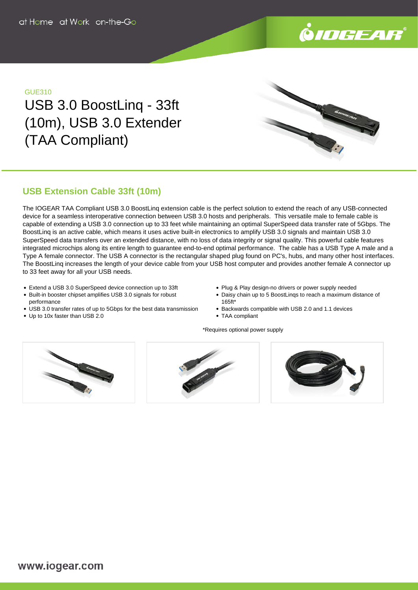

## GUE310

USB 3.0 BoostLinq - 33ft (10m), USB 3.0 Extender (TAA Compliant)

# **USB Extension Cable 33ft (10m)**

The IOGEAR TAA Compliant USB 3.0 BoostLinq extension cable is the perfect solution to extend the reach of any USB-connected device for a seamless interoperative connection between USB 3.0 hosts and peripherals. This versatile male to female cable is capable of extending a USB 3.0 connection up to 33 feet while maintaining an optimal SuperSpeed data transfer rate of 5Gbps. The BoostLinq is an active cable, which means it uses active built-in electronics to amplify USB 3.0 signals and maintain USB 3.0 SuperSpeed data transfers over an extended distance, with no loss of data integrity or signal quality. This powerful cable features integrated microchips along its entire length to guarantee end-to-end optimal performance. The cable has a USB Type A male and a Type A female connector. The USB A connector is the rectangular shaped plug found on PC's, hubs, and many other host interfaces. The BoostLinq increases the length of your device cable from your USB host computer and provides another female A connector up to 33 feet away for all your USB needs.

- Extend a USB 3.0 SuperSpeed device connection up to 33ft
- Built-in booster chipset amplifies USB 3.0 signals for robust performance
- USB 3.0 transfer rates of up to 5Gbps for the best data transmission
- Plug & Play design-no drivers or power supply needed
- Daisy chain up to 5 BoostLinqs to reach a maximum distance of 165ft\*
- Backwards compatible with USB 2.0 and 1.1 devices
- TAA compliant

\*Requires optional power supply



Up to 10x faster than USB 2.0



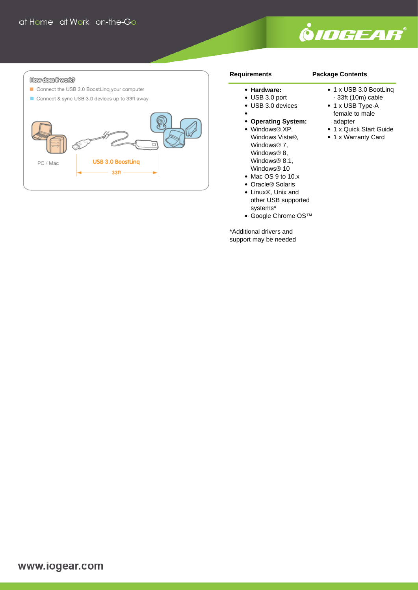

#### How dees it work?

- Connect the USB 3.0 BoostLing your computer
- Connect & sync USB 3.0 devices up to 33ft away



#### **Requirements**

# **Package Contents**

### **Hardware:**

- USB 3.0 port
- USB 3.0 devices
- 
- **Operating System:**
- Windows® XP, Windows Vista®, Windows® 7, Windows® 8, Windows® 8.1, Windows® 10
- Mac OS 9 to 10.x
- Oracle® Solaris
- Linux®, Unix and other USB supported systems\*
- Google Chrome OS™

\*Additional drivers and support may be needed

- 1 x USB 3.0 BootLing
- 33ft (10m) cable
- 1 x USB Type-A female to male adapter
- 1 x Quick Start Guide
- 1 x Warranty Card